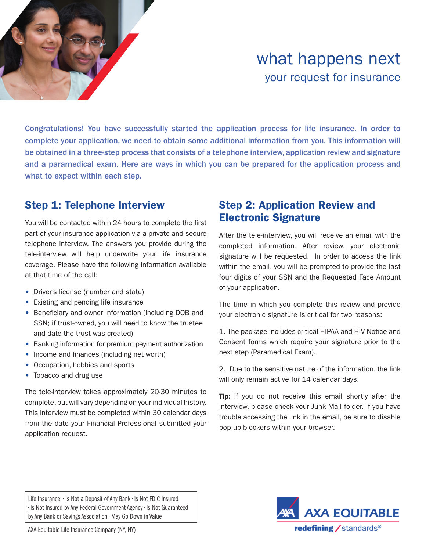

# what happens next your request for insurance

Congratulations! You have successfully started the application process for life insurance. In order to complete your application, we need to obtain some additional information from you. This information will be obtained in a three-step process that consists of a telephone interview, application review and signature and a paramedical exam. Here are ways in which you can be prepared for the application process and what to expect within each step.

### Step 1: Telephone Interview

You will be contacted within 24 hours to complete the first part of your insurance application via a private and secure telephone interview. The answers you provide during the tele-interview will help underwrite your life insurance coverage. Please have the following information available at that time of the call:

- Driver's license (number and state)
- Existing and pending life insurance
- Beneficiary and owner information (including DOB and SSN; if trust-owned, you will need to know the trustee and date the trust was created)
- Banking information for premium payment authorization
- Income and finances (including net worth)
- Occupation, hobbies and sports
- Tobacco and drug use

The tele-interview takes approximately 20-30 minutes to complete, but will vary depending on your individual history. This interview must be completed within 30 calendar days from the date your Financial Professional submitted your application request.

#### Step 2: Application Review and Electronic Signature

After the tele-interview, you will receive an email with the completed information. After review, your electronic signature will be requested. In order to access the link within the email, you will be prompted to provide the last four digits of your SSN and the Requested Face Amount of your application.

The time in which you complete this review and provide your electronic signature is critical for two reasons:

1. The package includes critical HIPAA and HIV Notice and Consent forms which require your signature prior to the next step (Paramedical Exam).

2. Due to the sensitive nature of the information, the link will only remain active for 14 calendar days.

Tip: If you do not receive this email shortly after the interview, please check your Junk Mail folder. If you have trouble accessing the link in the email, be sure to disable pop up blockers within your browser.

Life Insurance: • Is Not a Deposit of Any Bank • Is Not FDIC Insured • Is Not Insured by Any Federal Government Agency • Is Not Guaranteed by Any Bank or Savings Association • May Go Down in Value